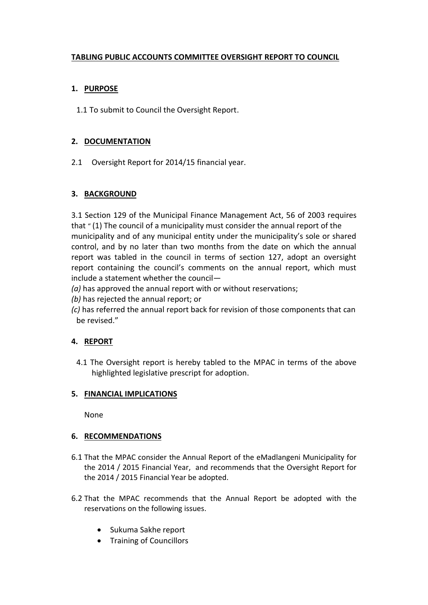# **TABLING PUBLIC ACCOUNTS COMMITTEE OVERSIGHT REPORT TO COUNCIL**

# **1. PURPOSE**

1.1 To submit to Council the Oversight Report.

## **2. DOCUMENTATION**

2.1 Oversight Report for 2014/15 financial year.

#### **3. BACKGROUND**

3.1 Section 129 of the Municipal Finance Management Act, 56 of 2003 requires that " (1) The council of a municipality must consider the annual report of the municipality and of any municipal entity under the municipality's sole or shared control, and by no later than two months from the date on which the annual report was tabled in the council in terms of section 127, adopt an oversight report containing the council's comments on the annual report, which must include a statement whether the council—

- *(a)* has approved the annual report with or without reservations;
- *(b)* has rejected the annual report; or
- *(c)* has referred the annual report back for revision of those components that can be revised."

#### **4. REPORT**

4.1 The Oversight report is hereby tabled to the MPAC in terms of the above highlighted legislative prescript for adoption.

#### **5. FINANCIAL IMPLICATIONS**

None

#### **6. RECOMMENDATIONS**

- 6.1 That the MPAC consider the Annual Report of the eMadlangeni Municipality for the 2014 / 2015 Financial Year, and recommends that the Oversight Report for the 2014 / 2015 Financial Year be adopted.
- 6.2 That the MPAC recommends that the Annual Report be adopted with the reservations on the following issues.
	- Sukuma Sakhe report
	- Training of Councillors